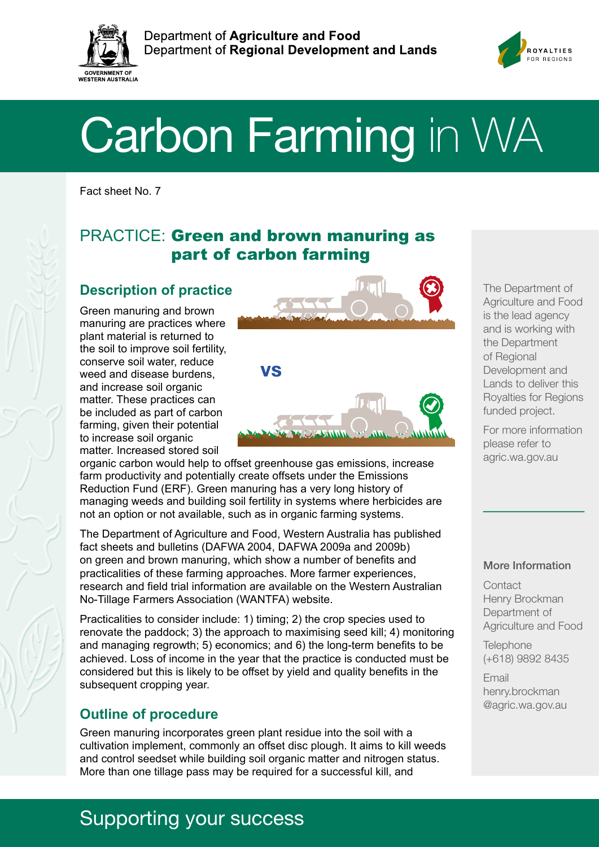



# Carbon Farming in WA

Fact sheet No. 7

# PRACTICE: Green and brown manuring as part of carbon farming

#### **Description of practice**

Green manuring and brown manuring are practices where plant material is returned to the soil to improve soil fertility, conserve soil water, reduce weed and disease burdens, and increase soil organic matter. These practices can be included as part of carbon farming, given their potential to increase soil organic matter. Increased stored soil



organic carbon would help to offset greenhouse gas emissions, increase farm productivity and potentially create offsets under the Emissions Reduction Fund (ERF). Green manuring has a very long history of managing weeds and building soil fertility in systems where herbicides are not an option or not available, such as in organic farming systems.

The Department of Agriculture and Food, Western Australia has published fact sheets and bulletins (DAFWA 2004, DAFWA 2009a and 2009b) on green and brown manuring, which show a number of benefits and practicalities of these farming approaches. More farmer experiences, research and field trial information are available on the Western Australian No-Tillage Farmers Association (WANTFA) website.

Practicalities to consider include: 1) timing; 2) the crop species used to renovate the paddock; 3) the approach to maximising seed kill; 4) monitoring and managing regrowth; 5) economics; and 6) the long-term benefits to be achieved. Loss of income in the year that the practice is conducted must be considered but this is likely to be offset by yield and quality benefits in the subsequent cropping year.

## **Outline of procedure**

Green manuring incorporates green plant residue into the soil with a cultivation implement, commonly an offset disc plough. It aims to kill weeds and control seedset while building soil organic matter and nitrogen status. More than one tillage pass may be required for a successful kill, and

#### The Department of Agriculture and Food is the lead agency and is working with the Department of Regional Development and Lands to deliver this Royalties for Regions funded project.

For more information please refer to agric.wa.gov.au

#### More Information

**Contact** Henry Brockman Department of Agriculture and Food

**Telephone** (+618) 9892 8435

Email henry.brockman @agric.wa.gov.au

# Supporting your success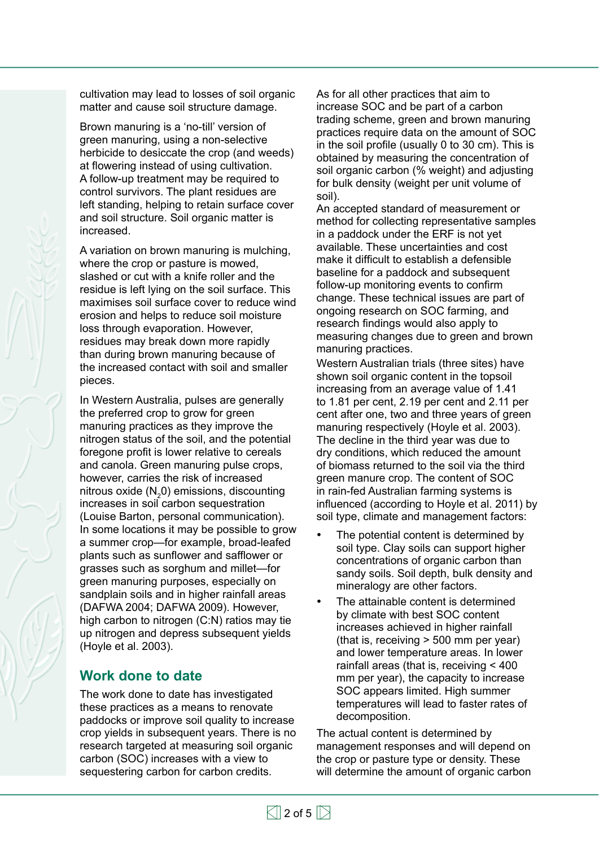cultivation may lead to losses of soil organic matter and cause soil structure damage.

Brown manuring is a 'no-till' version of green manuring, using a non-selective herbicide to desiccate the crop (and weeds) at flowering instead of using cultivation. A follow-up treatment may be required to control survivors. The plant residues are left standing, helping to retain surface cover and soil structure. Soil organic matter is increased.

A variation on brown manuring is mulching, where the crop or pasture is mowed, slashed or cut with a knife roller and the residue is left lying on the soil surface. This maximises soil surface cover to reduce wind erosion and helps to reduce soil moisture loss through evaporation. However, residues may break down more rapidly than during brown manuring because of the increased contact with soil and smaller pieces.

In Western Australia, pulses are generally the preferred crop to grow for green manuring practices as they improve the nitrogen status of the soil, and the potential foregone profit is lower relative to cereals and canola. Green manuring pulse crops, however, carries the risk of increased nitrous oxide  $(N_2 0)$  emissions, discounting increases in soil carbon sequestration (Louise Barton, personal communication). In some locations it may be possible to grow a summer crop—for example, broad-leafed plants such as sunflower and safflower or grasses such as sorghum and millet—for green manuring purposes, especially on sandplain soils and in higher rainfall areas (DAFWA 2004; DAFWA 2009). However, high carbon to nitrogen (C:N) ratios may tie up nitrogen and depress subsequent yields (Hoyle et al. 2003).

#### **Work done to date**

The work done to date has investigated these practices as a means to renovate paddocks or improve soil quality to increase crop yields in subsequent years. There is no research targeted at measuring soil organic carbon (SOC) increases with a view to sequestering carbon for carbon credits.

As for all other practices that aim to increase SOC and be part of a carbon trading scheme, green and brown manuring practices require data on the amount of SOC in the soil profile (usually 0 to 30 cm). This is obtained by measuring the concentration of soil organic carbon (% weight) and adjusting for bulk density (weight per unit volume of soil).

An accepted standard of measurement or method for collecting representative samples in a paddock under the ERF is not yet available. These uncertainties and cost make it difficult to establish a defensible baseline for a paddock and subsequent follow-up monitoring events to confirm change. These technical issues are part of ongoing research on SOC farming, and research findings would also apply to measuring changes due to green and brown manuring practices.

Western Australian trials (three sites) have shown soil organic content in the topsoil increasing from an average value of 1.41 to 1.81 per cent, 2.19 per cent and 2.11 per cent after one, two and three years of green manuring respectively (Hoyle et al. 2003). The decline in the third year was due to dry conditions, which reduced the amount of biomass returned to the soil via the third green manure crop. The content of SOC in rain-fed Australian farming systems is influenced (according to Hoyle et al. 2011) by soil type, climate and management factors:

- The potential content is determined by soil type. Clay soils can support higher concentrations of organic carbon than sandy soils. Soil depth, bulk density and mineralogy are other factors.
- The attainable content is determined by climate with best SOC content increases achieved in higher rainfall (that is, receiving > 500 mm per year) and lower temperature areas. In lower rainfall areas (that is, receiving < 400 mm per year), the capacity to increase SOC appears limited. High summer temperatures will lead to faster rates of decomposition.

The actual content is determined by management responses and will depend on the crop or pasture type or density. These will determine the amount of organic carbon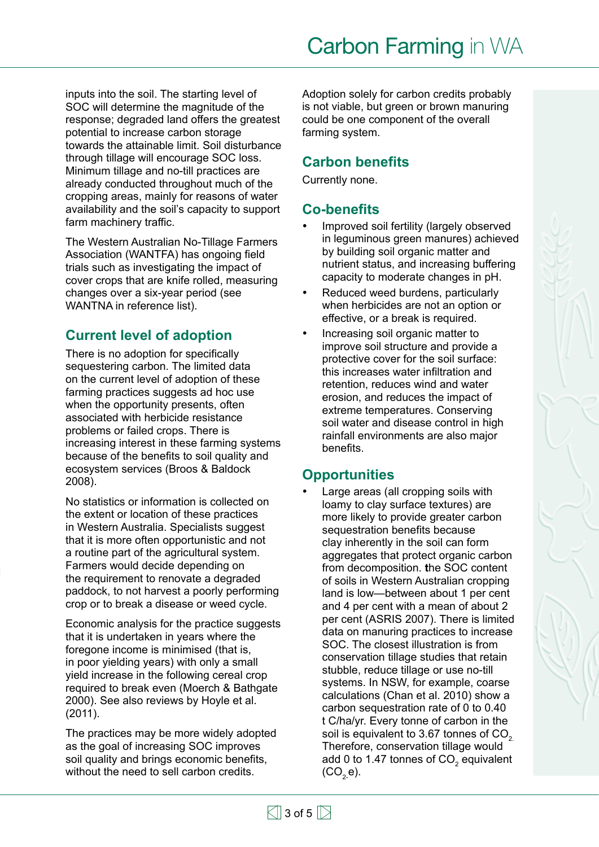inputs into the soil. The starting level of SOC will determine the magnitude of the response; degraded land offers the greatest potential to increase carbon storage towards the attainable limit. Soil disturbance through tillage will encourage SOC loss. Minimum tillage and no-till practices are already conducted throughout much of the cropping areas, mainly for reasons of water availability and the soil's capacity to support farm machinery traffic.

The Western Australian No-Tillage Farmers Association (WANTFA) has ongoing field trials such as investigating the impact of cover crops that are knife rolled, measuring changes over a six-year period (see WANTNA in reference list).

#### **Current level of adoption**

There is no adoption for specifically sequestering carbon. The limited data on the current level of adoption of these farming practices suggests ad hoc use when the opportunity presents, often associated with herbicide resistance problems or failed crops. There is increasing interest in these farming systems because of the benefits to soil quality and ecosystem services (Broos & Baldock 2008).

No statistics or information is collected on the extent or location of these practices in Western Australia. Specialists suggest that it is more often opportunistic and not a routine part of the agricultural system. Farmers would decide depending on the requirement to renovate a degraded paddock, to not harvest a poorly performing crop or to break a disease or weed cycle.

Economic analysis for the practice suggests that it is undertaken in years where the foregone income is minimised (that is, in poor yielding years) with only a small yield increase in the following cereal crop required to break even (Moerch & Bathgate 2000). See also reviews by Hoyle et al. (2011).

The practices may be more widely adopted as the goal of increasing SOC improves soil quality and brings economic benefits, without the need to sell carbon credits.

Adoption solely for carbon credits probably is not viable, but green or brown manuring could be one component of the overall farming system.

#### **Carbon benefits**

Currently none.

#### **Co-benefits**

- Improved soil fertility (largely observed in leguminous green manures) achieved by building soil organic matter and nutrient status, and increasing buffering capacity to moderate changes in pH.
- Reduced weed burdens, particularly when herbicides are not an option or effective, or a break is required.
- Increasing soil organic matter to improve soil structure and provide a protective cover for the soil surface: this increases water infiltration and retention, reduces wind and water erosion, and reduces the impact of extreme temperatures. Conserving soil water and disease control in high rainfall environments are also major benefits.

## **Opportunities**

Large areas (all cropping soils with loamy to clay surface textures) are more likely to provide greater carbon sequestration benefits because clay inherently in the soil can form aggregates that protect organic carbon from decomposition. **t**he SOC content of soils in Western Australian cropping land is low—between about 1 per cent and 4 per cent with a mean of about 2 per cent (ASRIS 2007). There is limited data on manuring practices to increase SOC. The closest illustration is from conservation tillage studies that retain stubble, reduce tillage or use no-till systems. In NSW, for example, coarse calculations (Chan et al. 2010) show a carbon sequestration rate of 0 to 0.40 t C/ha/yr. Every tonne of carbon in the soil is equivalent to 3.67 tonnes of CO<sub>2</sub>. Therefore, conservation tillage would add 0 to 1.47 tonnes of  $CO<sub>2</sub>$  equivalent  $(CO<sub>2</sub>e).$ 

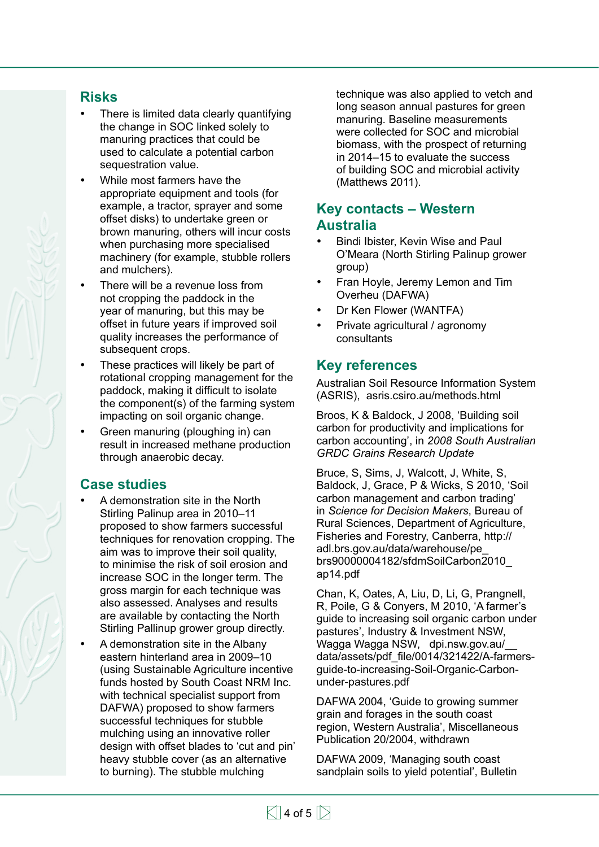#### **Risks**

- There is limited data clearly quantifying the change in SOC linked solely to manuring practices that could be used to calculate a potential carbon sequestration value.
- While most farmers have the appropriate equipment and tools (for example, a tractor, sprayer and some offset disks) to undertake green or brown manuring, others will incur costs when purchasing more specialised machinery (for example, stubble rollers and mulchers).
- There will be a revenue loss from not cropping the paddock in the year of manuring, but this may be offset in future years if improved soil quality increases the performance of subsequent crops.
- These practices will likely be part of rotational cropping management for the paddock, making it difficult to isolate the component(s) of the farming system impacting on soil organic change.
- Green manuring (ploughing in) can result in increased methane production through anaerobic decay.

#### **Case studies**

- A demonstration site in the North Stirling Palinup area in 2010–11 proposed to show farmers successful techniques for renovation cropping. The aim was to improve their soil quality, to minimise the risk of soil erosion and increase SOC in the longer term. The gross margin for each technique was also assessed. Analyses and results are available by contacting the North Stirling Pallinup grower group directly.
- A demonstration site in the Albany eastern hinterland area in 2009–10 (using Sustainable Agriculture incentive funds hosted by South Coast NRM Inc. with technical specialist support from DAFWA) proposed to show farmers successful techniques for stubble mulching using an innovative roller design with offset blades to 'cut and pin' heavy stubble cover (as an alternative to burning). The stubble mulching

technique was also applied to vetch and long season annual pastures for green manuring. Baseline measurements were collected for SOC and microbial biomass, with the prospect of returning in 2014–15 to evaluate the success of building SOC and microbial activity (Matthews 2011).

#### **Key contacts – Western Australia**

- Bindi Ibister, Kevin Wise and Paul O'Meara (North Stirling Palinup grower group)
- Fran Hoyle, Jeremy Lemon and Tim Overheu (DAFWA)
- Dr Ken Flower (WANTFA)
- Private agricultural / agronomy consultants

#### **Key references**

Australian Soil Resource Information System (ASRIS), asris.csiro.au/methods.html

Broos, K & Baldock, J 2008, 'Building soil carbon for productivity and implications for carbon accounting', in *2008 South Australian GRDC Grains Research Update*

Bruce, S, Sims, J, Walcott, J, White, S, Baldock, J, Grace, P & Wicks, S 2010, 'Soil carbon management and carbon trading' in *Science for Decision Makers*, Bureau of Rural Sciences, Department of Agriculture, Fisheries and Forestry, Canberra, [http://](http://adl.brs.gov.au/data/warehouse/pe_brs90000004182/sfdmSoilCarbon2010_ap14.pdf) [adl.brs.gov.au/data/warehouse/pe\\_](http://adl.brs.gov.au/data/warehouse/pe_brs90000004182/sfdmSoilCarbon2010_ap14.pdf) [brs90000004182/sfdmSoilCarbon2010\\_](http://adl.brs.gov.au/data/warehouse/pe_brs90000004182/sfdmSoilCarbon2010_ap14.pdf) [ap14.pdf](http://adl.brs.gov.au/data/warehouse/pe_brs90000004182/sfdmSoilCarbon2010_ap14.pdf)

Chan, K, Oates, A, Liu, D, Li, G, Prangnell, R, Poile, G & Conyers, M 2010, 'A farmer's guide to increasing soil organic carbon under pastures', Industry & Investment NSW, Wagga Wagga NSW, dpi.nsw.gov.au/\_\_ data/assets/pdf\_file/0014/321422/A-farmersguide-to-increasing-Soil-Organic-Carbonunder-pastures.pdf

DAFWA 2004, 'Guide to growing summer grain and forages in the south coast region, Western Australia', Miscellaneous Publication 20/2004, withdrawn

DAFWA 2009, 'Managing south coast sandplain soils to yield potential', Bulletin